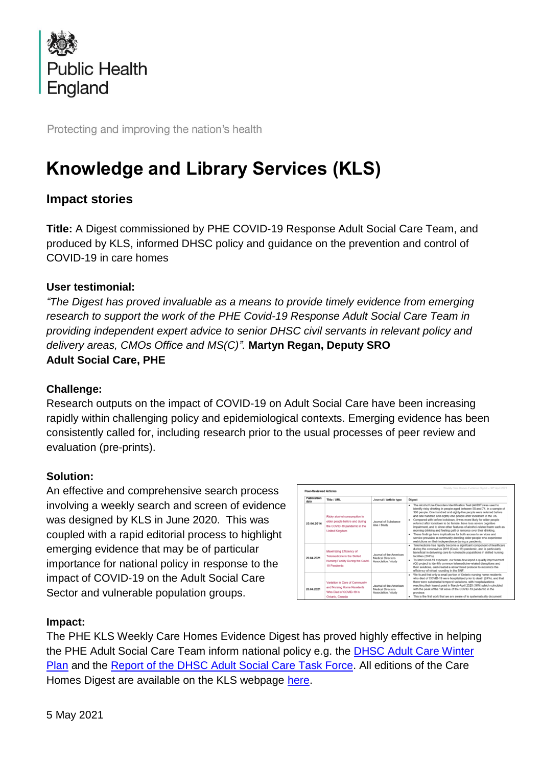

Protecting and improving the nation's health

# **Knowledge and Library Services (KLS)**

## **Impact stories**

**Title:** A Digest commissioned by PHE COVID-19 Response Adult Social Care Team, and produced by KLS, informed DHSC policy and guidance on the prevention and control of COVID-19 in care homes

#### **User testimonial:**

*"The Digest has proved invaluable as a means to provide timely evidence from emerging research to support the work of the PHE Covid-19 Response Adult Social Care Team in providing independent expert advice to senior DHSC civil servants in relevant policy and delivery areas, CMOs Office and MS(C)".* **Martyn Regan, Deputy SRO Adult Social Care, PHE**

#### **Challenge:**

Research outputs on the impact of COVID-19 on Adult Social Care have been increasing rapidly within challenging policy and epidemiological contexts. Emerging evidence has been consistently called for, including research prior to the usual processes of peer review and evaluation (pre-prints).

#### **Solution:**

An effective and comprehensive search process involving a weekly search and screen of evidence was designed by KLS in June 2020. This was coupled with a rapid editorial process to highlight emerging evidence that may be of particular importance for national policy in response to the impact of COVID-19 on the Adult Social Care Sector and vulnerable population groups.

| Publication<br>date | Title / URL                                                                                                             | Journal / Article type                                                     | <b>Digest</b>                                                                                                                                                                                                                                                                                                                                                                                                                                                                                                                                                                                                                                                                                                                                                                                   |
|---------------------|-------------------------------------------------------------------------------------------------------------------------|----------------------------------------------------------------------------|-------------------------------------------------------------------------------------------------------------------------------------------------------------------------------------------------------------------------------------------------------------------------------------------------------------------------------------------------------------------------------------------------------------------------------------------------------------------------------------------------------------------------------------------------------------------------------------------------------------------------------------------------------------------------------------------------------------------------------------------------------------------------------------------------|
| 23.04.2014          | Risky alcohol consumption in<br>older people before and during<br>the COVID-19 pandemic in the<br><b>United Kingdom</b> | Journal of Substance<br>Use / Study                                        | The Alcohol Use Disorders Identification Test (AUDIT) was used to<br>identify risky drinking in people aged between 55 and 74, in a sample of<br>366 people. One hundred and eighty-five people were referred before<br>and one hundred and eighty-one people after lockdown in the UK.<br>Compared with before lockdown, it was more likely for older people<br>٠<br>referred after lockdown to be female, have less severe cognitive<br>impairment, and to show other features of alcohol-related harm such as<br>morning drinking and feeling quilt or remorse over their drinking.<br>These findings have implications for both access to services and<br>٠<br>service provision in community-dwelling older people who experience<br>restrictions on their independence during a pandemic. |
| 20.04.2021          | Maximizing Efficiency of<br>Telemedicine in the Skilled<br>Nursing Facility During the Covid-<br>19 Pandemic            | Journal of the American<br><b>Medical Directors</b><br>Association / study | Telemedicine has rapidly become a significant component of healthcare<br>during the coronavirus 2019 (Covid-19) pandemic, and is particularly<br>beneficial in delivering care to vulnerable populations in skilled nursing<br>facilities (SNFs).<br>To limit Covid-19 exposure, our team developed a quality improvement<br>٠<br>(QI) project to identify common telemedicine-related disruptions and<br>their solutions, and created a streamlined protocol to maximize the<br>efficiency of virtual rounding in the SNF.                                                                                                                                                                                                                                                                     |
| 20.04.2021          | Variation in Care of Community<br>and Nursing Home Residents<br>Who Died of COVID-19 in<br>Ontario, Canada              | Journal of the American<br><b>Medical Directors</b><br>Association / study | We found that only a small portion of Ontario nursing home residents<br>who died of COVID-19 were hospitalized prior to death (24%), and that<br>there were substantial temporal variations, with hospitalizations<br>reaching their lowest point in March-April 2020 (16%) which coincided<br>with the peak of the 1st wave of the COVID-19 pandemic in the<br>province.<br>This is the first work that we are aware of to systematically document                                                                                                                                                                                                                                                                                                                                             |

#### **Impact:**

The PHE KLS Weekly Care Homes Evidence Digest has proved highly effective in helping the PHE Adult Social Care Team inform national policy e.g. the [DHSC Adult Care Winter](https://www.gov.uk/government/publications/adult-social-care-coronavirus-covid-19-winter-plan-2020-to-2021/adult-social-care-our-covid-19-winter-plan-2020-to-2021)  [Plan](https://www.gov.uk/government/publications/adult-social-care-coronavirus-covid-19-winter-plan-2020-to-2021/adult-social-care-our-covid-19-winter-plan-2020-to-2021) and the [Report of the DHSC Adult Social Care Task Force.](https://www.gov.uk/government/publications/social-care-sector-covid-19-support-taskforce-report-on-first-phase-of-covid-19-pandemic/social-care-sector-covid-19-support-taskforce-final-report-advice-and-recommendations?wp-linkindex=2&utm_campaign=COVID-19_Support_Taskforce_report_e-shot&utm_content=dhsc-mail.co.uk&utm_medium=email&utm_source=Department_of_Health_and_Social_Care&wp-linkindex=1&utm_campaign=COVID-19_Support_Taskforce_report_e-shot&utm_content=dhsc-mail.co.uk&utm_medium=email&utm_source=Department_of_Health_and_Social_Care) All editions of the Care Homes Digest are available on the KLS webpage [here.](https://phelibrary.koha-ptfs.co.uk/coronavirusinformation/#WeeklyCareHomes)